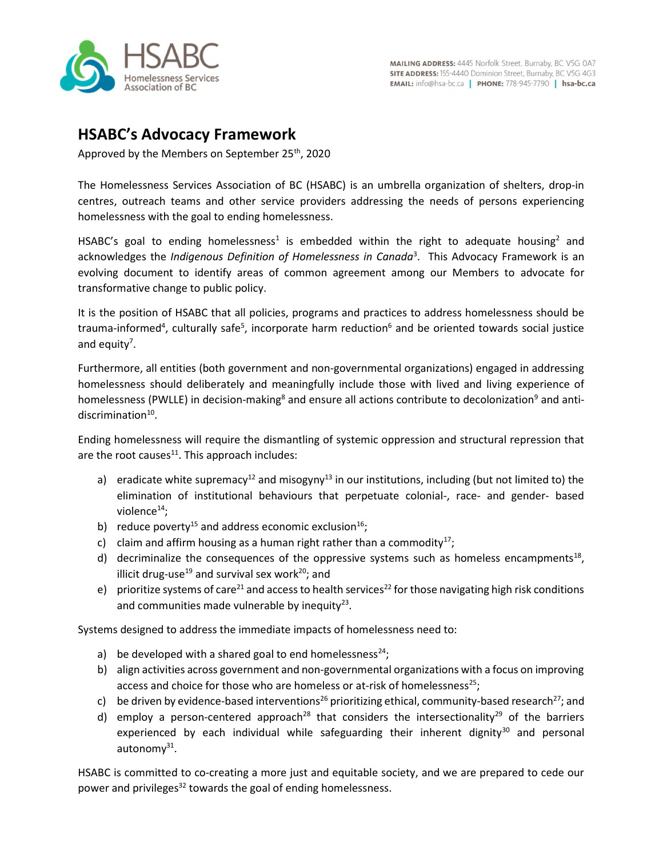

## HSABC's Advocacy Framework

Approved by the Members on September 25<sup>th</sup>, 2020

The Homelessness Services Association of BC (HSABC) is an umbrella organization of shelters, drop-in centres, outreach teams and other service providers addressing the needs of persons experiencing homelessness with the goal to ending homelessness.

HSABC's goal to ending homelessness<sup>1</sup> is embedded within the right to adequate housing<sup>2</sup> and acknowledges the Indigenous Definition of Homelessness in Canada<sup>3</sup>. This Advocacy Framework is an evolving document to identify areas of common agreement among our Members to advocate for transformative change to public policy.

It is the position of HSABC that all policies, programs and practices to address homelessness should be trauma-informed<sup>4</sup>, culturally safe<sup>5</sup>, incorporate harm reduction<sup>6</sup> and be oriented towards social justice and equity<sup>7</sup>.

Furthermore, all entities (both government and non-governmental organizations) engaged in addressing homelessness should deliberately and meaningfully include those with lived and living experience of homelessness (PWLLE) in decision-making<sup>8</sup> and ensure all actions contribute to decolonization<sup>9</sup> and antidiscrimination<sup>10</sup>.

Ending homelessness will require the dismantling of systemic oppression and structural repression that are the root causes $^{11}$ . This approach includes:

- a) eradicate white supremacy<sup>12</sup> and misogyny<sup>13</sup> in our institutions, including (but not limited to) the elimination of institutional behaviours that perpetuate colonial-, race- and gender- based violence $^{14}$ ;
- b) reduce poverty<sup>15</sup> and address economic exclusion<sup>16</sup>;
- c) claim and affirm housing as a human right rather than a commodity<sup>17</sup>;
- d) decriminalize the consequences of the oppressive systems such as homeless encampments<sup>18</sup>, illicit drug-use<sup>19</sup> and survival sex work<sup>20</sup>; and
- e) prioritize systems of care<sup>21</sup> and access to health services<sup>22</sup> for those navigating high risk conditions and communities made vulnerable by inequity $23$ .

Systems designed to address the immediate impacts of homelessness need to:

- a) be developed with a shared goal to end homelessness<sup>24</sup>;
- b) align activities across government and non-governmental organizations with a focus on improving access and choice for those who are homeless or at-risk of homelessness<sup>25</sup>;
- c) be driven by evidence-based interventions<sup>26</sup> prioritizing ethical, community-based research<sup>27</sup>; and
- d) employ a person-centered approach<sup>28</sup> that considers the intersectionality<sup>29</sup> of the barriers experienced by each individual while safeguarding their inherent dignity $30$  and personal autonomy<sup>31</sup>.

HSABC is committed to co-creating a more just and equitable society, and we are prepared to cede our power and privileges<sup>32</sup> towards the goal of ending homelessness.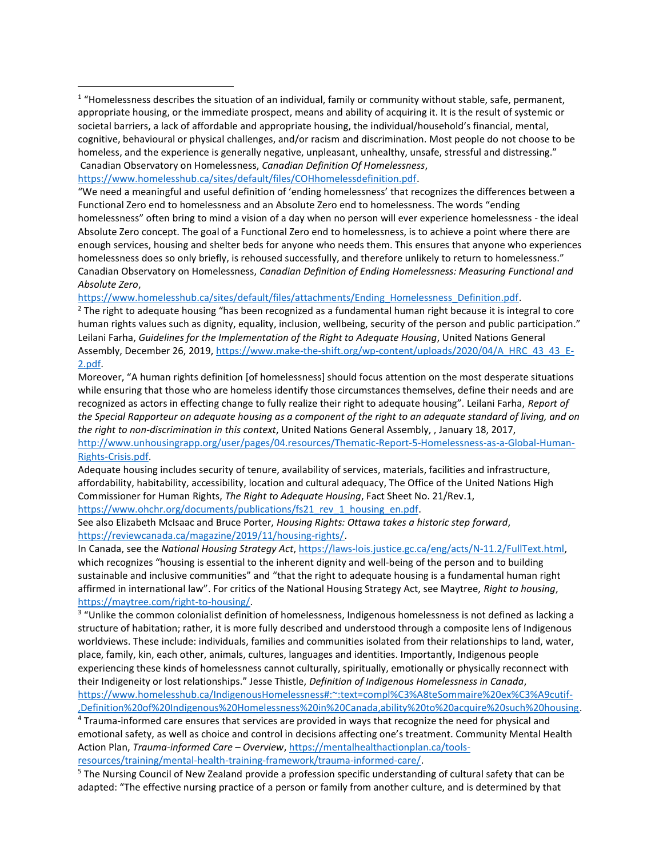```
https://www.homelesshub.ca/sites/default/files/COHhomelessdefinition.pdf.
```
"We need a meaningful and useful definition of 'ending homelessness' that recognizes the differences between a Functional Zero end to homelessness and an Absolute Zero end to homelessness. The words "ending homelessness" often bring to mind a vision of a day when no person will ever experience homelessness - the ideal Absolute Zero concept. The goal of a Functional Zero end to homelessness, is to achieve a point where there are enough services, housing and shelter beds for anyone who needs them. This ensures that anyone who experiences homelessness does so only briefly, is rehoused successfully, and therefore unlikely to return to homelessness." Canadian Observatory on Homelessness, Canadian Definition of Ending Homelessness: Measuring Functional and Absolute Zero,

https://www.homelesshub.ca/sites/default/files/attachments/Ending\_Homelessness\_Definition.pdf.

<sup>2</sup> The right to adequate housing "has been recognized as a fundamental human right because it is integral to core human rights values such as dignity, equality, inclusion, wellbeing, security of the person and public participation." Leilani Farha, Guidelines for the Implementation of the Right to Adequate Housing, United Nations General Assembly, December 26, 2019, https://www.make-the-shift.org/wp-content/uploads/2020/04/A\_HRC\_43\_43\_E-2.pdf.

Moreover, "A human rights definition [of homelessness] should focus attention on the most desperate situations while ensuring that those who are homeless identify those circumstances themselves, define their needs and are recognized as actors in effecting change to fully realize their right to adequate housing". Leilani Farha, Report of the Special Rapporteur on adequate housing as a component of the right to an adequate standard of living, and on the right to non-discrimination in this context, United Nations General Assembly, , January 18, 2017, http://www.unhousingrapp.org/user/pages/04.resources/Thematic-Report-5-Homelessness-as-a-Global-Human-

## Rights-Crisis.pdf.

Adequate housing includes security of tenure, availability of services, materials, facilities and infrastructure, affordability, habitability, accessibility, location and cultural adequacy, The Office of the United Nations High Commissioner for Human Rights, The Right to Adequate Housing, Fact Sheet No. 21/Rev.1, https://www.ohchr.org/documents/publications/fs21\_rev\_1\_housing\_en.pdf.

See also Elizabeth McIsaac and Bruce Porter, Housing Rights: Ottawa takes a historic step forward, https://reviewcanada.ca/magazine/2019/11/housing-rights/.

In Canada, see the National Housing Strategy Act, https://laws-lois.justice.gc.ca/eng/acts/N-11.2/FullText.html, which recognizes "housing is essential to the inherent dignity and well-being of the person and to building sustainable and inclusive communities" and "that the right to adequate housing is a fundamental human right affirmed in international law". For critics of the National Housing Strategy Act, see Maytree, Right to housing, https://maytree.com/right-to-housing/.

<sup>3</sup> "Unlike the common colonialist definition of homelessness, Indigenous homelessness is not defined as lacking a structure of habitation; rather, it is more fully described and understood through a composite lens of Indigenous worldviews. These include: individuals, families and communities isolated from their relationships to land, water, place, family, kin, each other, animals, cultures, languages and identities. Importantly, Indigenous people experiencing these kinds of homelessness cannot culturally, spiritually, emotionally or physically reconnect with their Indigeneity or lost relationships." Jesse Thistle, Definition of Indigenous Homelessness in Canada, https://www.homelesshub.ca/IndigenousHomelessness#:~:text=compl%C3%A8teSommaire%20ex%C3%A9cutif-

,Definition%20of%20Indigenous%20Homelessness%20in%20Canada,ability%20to%20acquire%20such%20housing.

<sup>4</sup> Trauma-informed care ensures that services are provided in ways that recognize the need for physical and emotional safety, as well as choice and control in decisions affecting one's treatment. Community Mental Health Action Plan, Trauma-informed Care – Overview, https://mentalhealthactionplan.ca/toolsresources/training/mental-health-training-framework/trauma-informed-care/.

<sup>5</sup> The Nursing Council of New Zealand provide a profession specific understanding of cultural safety that can be adapted: "The effective nursing practice of a person or family from another culture, and is determined by that

 $1$  "Homelessness describes the situation of an individual, family or community without stable, safe, permanent, appropriate housing, or the immediate prospect, means and ability of acquiring it. It is the result of systemic or societal barriers, a lack of affordable and appropriate housing, the individual/household's financial, mental, cognitive, behavioural or physical challenges, and/or racism and discrimination. Most people do not choose to be homeless, and the experience is generally negative, unpleasant, unhealthy, unsafe, stressful and distressing." Canadian Observatory on Homelessness, Canadian Definition Of Homelessness,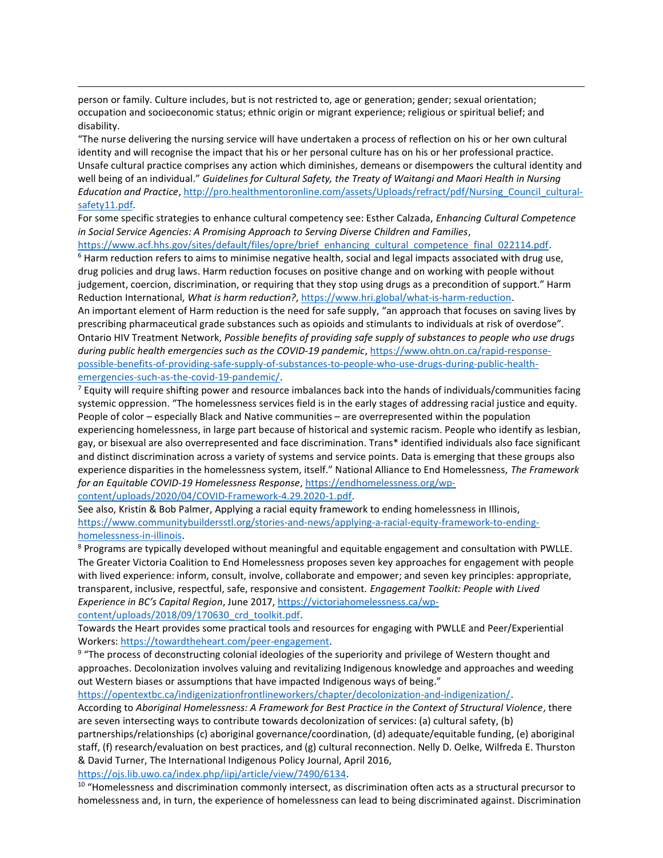person or family. Culture includes, but is not restricted to, age or generation; gender; sexual orientation; occupation and socioeconomic status; ethnic origin or migrant experience; religious or spiritual belief; and disability.

"The nurse delivering the nursing service will have undertaken a process of reflection on his or her own cultural identity and will recognise the impact that his or her personal culture has on his or her professional practice. Unsafe cultural practice comprises any action which diminishes, demeans or disempowers the cultural identity and well being of an individual." Guidelines for Cultural Safety, the Treaty of Waitangi and Maori Health in Nursing Education and Practice, http://pro.healthmentoronline.com/assets/Uploads/refract/pdf/Nursing\_Council\_culturalsafety11.pdf.

For some specific strategies to enhance cultural competency see: Esther Calzada, Enhancing Cultural Competence in Social Service Agencies: A Promising Approach to Serving Diverse Children and Families,

https://www.acf.hhs.gov/sites/default/files/opre/brief\_enhancing\_cultural\_competence\_final\_022114.pdf. <sup>6</sup> Harm reduction refers to aims to minimise negative health, social and legal impacts associated with drug use, drug policies and drug laws. Harm reduction focuses on positive change and on working with people without judgement, coercion, discrimination, or requiring that they stop using drugs as a precondition of support." Harm Reduction International, What is harm reduction?, https://www.hri.global/what-is-harm-reduction.

An important element of Harm reduction is the need for safe supply, "an approach that focuses on saving lives by prescribing pharmaceutical grade substances such as opioids and stimulants to individuals at risk of overdose". Ontario HIV Treatment Network, Possible benefits of providing safe supply of substances to people who use drugs during public health emergencies such as the COVID-19 pandemic, https://www.ohtn.on.ca/rapid-responsepossible-benefits-of-providing-safe-supply-of-substances-to-people-who-use-drugs-during-public-healthemergencies-such-as-the-covid-19-pandemic/.

 $7$  Equity will require shifting power and resource imbalances back into the hands of individuals/communities facing systemic oppression. "The homelessness services field is in the early stages of addressing racial justice and equity. People of color – especially Black and Native communities – are overrepresented within the population experiencing homelessness, in large part because of historical and systemic racism. People who identify as lesbian, gay, or bisexual are also overrepresented and face discrimination. Trans\* identified individuals also face significant and distinct discrimination across a variety of systems and service points. Data is emerging that these groups also experience disparities in the homelessness system, itself." National Alliance to End Homelessness, The Framework for an Equitable COVID-19 Homelessness Response, https://endhomelessness.org/wpcontent/uploads/2020/04/COVID-Framework-4.29.2020-1.pdf.

See also, Kristin & Bob Palmer, Applying a racial equity framework to ending homelessness in Illinois, https://www.communitybuildersstl.org/stories-and-news/applying-a-racial-equity-framework-to-ending-

homelessness-in-illinois.

<sup>8</sup> Programs are typically developed without meaningful and equitable engagement and consultation with PWLLE. The Greater Victoria Coalition to End Homelessness proposes seven key approaches for engagement with people with lived experience: inform, consult, involve, collaborate and empower; and seven key principles: appropriate, transparent, inclusive, respectful, safe, responsive and consistent. Engagement Toolkit: People with Lived Experience in BC's Capital Region, June 2017, https://victoriahomelessness.ca/wpcontent/uploads/2018/09/170630\_crd\_toolkit.pdf.

Towards the Heart provides some practical tools and resources for engaging with PWLLE and Peer/Experiential Workers: https://towardtheheart.com/peer-engagement.

<sup>9</sup> "The process of deconstructing colonial ideologies of the superiority and privilege of Western thought and approaches. Decolonization involves valuing and revitalizing Indigenous knowledge and approaches and weeding out Western biases or assumptions that have impacted Indigenous ways of being."

https://opentextbc.ca/indigenizationfrontlineworkers/chapter/decolonization-and-indigenization/.

According to Aboriginal Homelessness: A Framework for Best Practice in the Context of Structural Violence, there are seven intersecting ways to contribute towards decolonization of services: (a) cultural safety, (b) partnerships/relationships (c) aboriginal governance/coordination, (d) adequate/equitable funding, (e) aboriginal staff, (f) research/evaluation on best practices, and (g) cultural reconnection. Nelly D. Oelke, Wilfreda E. Thurston & David Turner, The International Indigenous Policy Journal, April 2016,

https://ojs.lib.uwo.ca/index.php/iipj/article/view/7490/6134.

 $10$  "Homelessness and discrimination commonly intersect, as discrimination often acts as a structural precursor to homelessness and, in turn, the experience of homelessness can lead to being discriminated against. Discrimination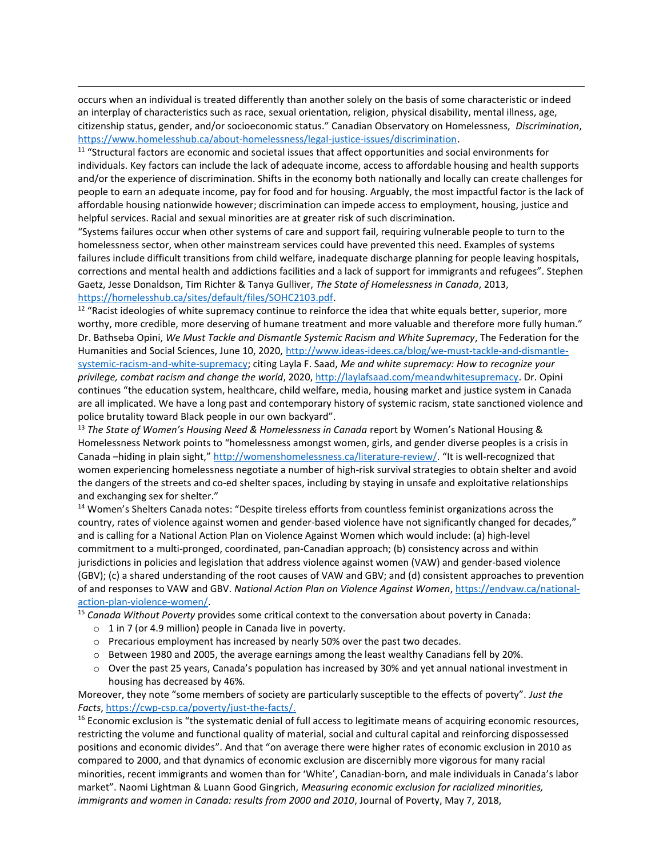occurs when an individual is treated differently than another solely on the basis of some characteristic or indeed an interplay of characteristics such as race, sexual orientation, religion, physical disability, mental illness, age, citizenship status, gender, and/or socioeconomic status." Canadian Observatory on Homelessness, Discrimination, https://www.homelesshub.ca/about-homelessness/legal-justice-issues/discrimination.

<sup>11</sup> "Structural factors are economic and societal issues that affect opportunities and social environments for individuals. Key factors can include the lack of adequate income, access to affordable housing and health supports and/or the experience of discrimination. Shifts in the economy both nationally and locally can create challenges for people to earn an adequate income, pay for food and for housing. Arguably, the most impactful factor is the lack of affordable housing nationwide however; discrimination can impede access to employment, housing, justice and helpful services. Racial and sexual minorities are at greater risk of such discrimination.

"Systems failures occur when other systems of care and support fail, requiring vulnerable people to turn to the homelessness sector, when other mainstream services could have prevented this need. Examples of systems failures include difficult transitions from child welfare, inadequate discharge planning for people leaving hospitals, corrections and mental health and addictions facilities and a lack of support for immigrants and refugees". Stephen Gaetz, Jesse Donaldson, Tim Richter & Tanya Gulliver, The State of Homelessness in Canada, 2013, https://homelesshub.ca/sites/default/files/SOHC2103.pdf.

<sup>12</sup> "Racist ideologies of white supremacy continue to reinforce the idea that white equals better, superior, more worthy, more credible, more deserving of humane treatment and more valuable and therefore more fully human." Dr. Bathseba Opini, We Must Tackle and Dismantle Systemic Racism and White Supremacy, The Federation for the Humanities and Social Sciences, June 10, 2020, http://www.ideas-idees.ca/blog/we-must-tackle-and-dismantlesystemic-racism-and-white-supremacy; citing Layla F. Saad, Me and white supremacy: How to recognize your privilege, combat racism and change the world, 2020, http://laylafsaad.com/meandwhitesupremacy. Dr. Opini continues "the education system, healthcare, child welfare, media, housing market and justice system in Canada are all implicated. We have a long past and contemporary history of systemic racism, state sanctioned violence and police brutality toward Black people in our own backyard".

<sup>13</sup> The State of Women's Housing Need & Homelessness in Canada report by Women's National Housing & Homelessness Network points to "homelessness amongst women, girls, and gender diverse peoples is a crisis in Canada –hiding in plain sight," http://womenshomelessness.ca/literature-review/. "It is well-recognized that women experiencing homelessness negotiate a number of high-risk survival strategies to obtain shelter and avoid the dangers of the streets and co-ed shelter spaces, including by staying in unsafe and exploitative relationships and exchanging sex for shelter."

<sup>14</sup> Women's Shelters Canada notes: "Despite tireless efforts from countless feminist organizations across the country, rates of violence against women and gender-based violence have not significantly changed for decades," and is calling for a National Action Plan on Violence Against Women which would include: (a) high-level commitment to a multi-pronged, coordinated, pan-Canadian approach; (b) consistency across and within jurisdictions in policies and legislation that address violence against women (VAW) and gender-based violence (GBV); (c) a shared understanding of the root causes of VAW and GBV; and (d) consistent approaches to prevention of and responses to VAW and GBV. National Action Plan on Violence Against Women, https://endvaw.ca/nationalaction-plan-violence-women/.

<sup>15</sup> Canada Without Poverty provides some critical context to the conversation about poverty in Canada:

- $\circ$  1 in 7 (or 4.9 million) people in Canada live in poverty.
- o Precarious employment has increased by nearly 50% over the past two decades.
- o Between 1980 and 2005, the average earnings among the least wealthy Canadians fell by 20%.
- o Over the past 25 years, Canada's population has increased by 30% and yet annual national investment in housing has decreased by 46%.

Moreover, they note "some members of society are particularly susceptible to the effects of poverty". Just the Facts, https://cwp-csp.ca/poverty/just-the-facts/.

<sup>16</sup> Economic exclusion is "the systematic denial of full access to legitimate means of acquiring economic resources, restricting the volume and functional quality of material, social and cultural capital and reinforcing dispossessed positions and economic divides". And that "on average there were higher rates of economic exclusion in 2010 as compared to 2000, and that dynamics of economic exclusion are discernibly more vigorous for many racial minorities, recent immigrants and women than for 'White', Canadian-born, and male individuals in Canada's labor market". Naomi Lightman & Luann Good Gingrich, Measuring economic exclusion for racialized minorities, immigrants and women in Canada: results from 2000 and 2010, Journal of Poverty, May 7, 2018,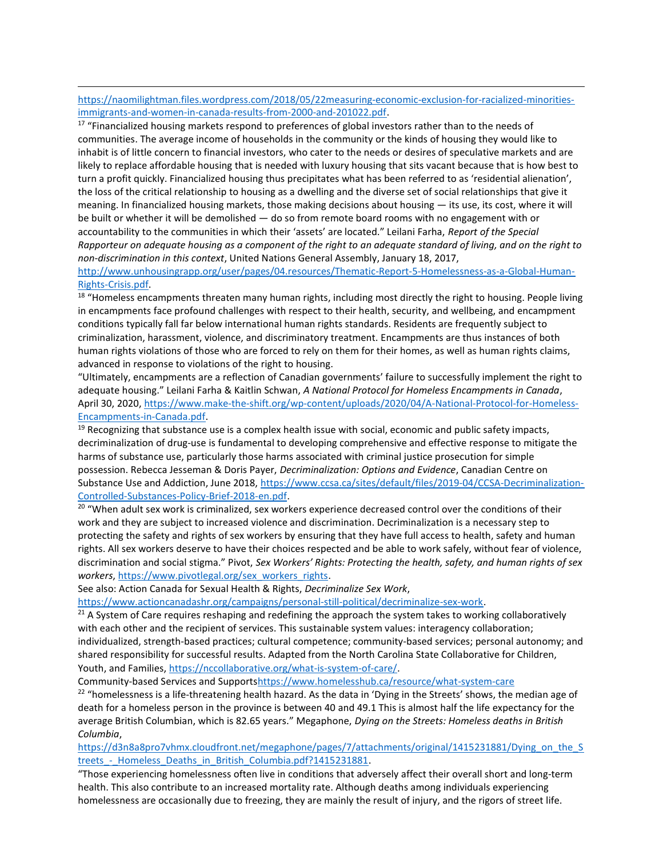https://naomilightman.files.wordpress.com/2018/05/22measuring-economic-exclusion-for-racialized-minoritiesimmigrants-and-women-in-canada-results-from-2000-and-201022.pdf.

<sup>17</sup> "Financialized housing markets respond to preferences of global investors rather than to the needs of communities. The average income of households in the community or the kinds of housing they would like to inhabit is of little concern to financial investors, who cater to the needs or desires of speculative markets and are likely to replace affordable housing that is needed with luxury housing that sits vacant because that is how best to turn a profit quickly. Financialized housing thus precipitates what has been referred to as 'residential alienation', the loss of the critical relationship to housing as a dwelling and the diverse set of social relationships that give it meaning. In financialized housing markets, those making decisions about housing — its use, its cost, where it will be built or whether it will be demolished — do so from remote board rooms with no engagement with or accountability to the communities in which their 'assets' are located." Leilani Farha, Report of the Special Rapporteur on adequate housing as a component of the right to an adequate standard of living, and on the right to non-discrimination in this context, United Nations General Assembly, January 18, 2017,

http://www.unhousingrapp.org/user/pages/04.resources/Thematic-Report-5-Homelessness-as-a-Global-Human-Rights-Crisis.pdf.

<sup>18</sup> "Homeless encampments threaten many human rights, including most directly the right to housing. People living in encampments face profound challenges with respect to their health, security, and wellbeing, and encampment conditions typically fall far below international human rights standards. Residents are frequently subject to criminalization, harassment, violence, and discriminatory treatment. Encampments are thus instances of both human rights violations of those who are forced to rely on them for their homes, as well as human rights claims, advanced in response to violations of the right to housing.

"Ultimately, encampments are a reflection of Canadian governments' failure to successfully implement the right to adequate housing." Leilani Farha & Kaitlin Schwan, A National Protocol for Homeless Encampments in Canada, April 30, 2020, https://www.make-the-shift.org/wp-content/uploads/2020/04/A-National-Protocol-for-Homeless-Encampments-in-Canada.pdf.

 $19$  Recognizing that substance use is a complex health issue with social, economic and public safety impacts, decriminalization of drug-use is fundamental to developing comprehensive and effective response to mitigate the harms of substance use, particularly those harms associated with criminal justice prosecution for simple possession. Rebecca Jesseman & Doris Payer, Decriminalization: Options and Evidence, Canadian Centre on Substance Use and Addiction, June 2018, https://www.ccsa.ca/sites/default/files/2019-04/CCSA-Decriminalization-Controlled-Substances-Policy-Brief-2018-en.pdf.

<sup>20</sup> "When adult sex work is criminalized, sex workers experience decreased control over the conditions of their work and they are subject to increased violence and discrimination. Decriminalization is a necessary step to protecting the safety and rights of sex workers by ensuring that they have full access to health, safety and human rights. All sex workers deserve to have their choices respected and be able to work safely, without fear of violence, discrimination and social stigma." Pivot, Sex Workers' Rights: Protecting the health, safety, and human rights of sex workers, https://www.pivotlegal.org/sex\_workers\_rights.

See also: Action Canada for Sexual Health & Rights, Decriminalize Sex Work,

https://www.actioncanadashr.org/campaigns/personal-still-political/decriminalize-sex-work.

 $21$  A System of Care requires reshaping and redefining the approach the system takes to working collaboratively with each other and the recipient of services. This sustainable system values: interagency collaboration; individualized, strength-based practices; cultural competence; community-based services; personal autonomy; and shared responsibility for successful results. Adapted from the North Carolina State Collaborative for Children, Youth, and Families, https://nccollaborative.org/what-is-system-of-care/.

Community-based Services and Supportshttps://www.homelesshub.ca/resource/what-system-care

<sup>22</sup> "homelessness is a life-threatening health hazard. As the data in 'Dying in the Streets' shows, the median age of death for a homeless person in the province is between 40 and 49.1 This is almost half the life expectancy for the average British Columbian, which is 82.65 years." Megaphone, Dying on the Streets: Homeless deaths in British Columbia,

https://d3n8a8pro7vhmx.cloudfront.net/megaphone/pages/7/attachments/original/1415231881/Dying\_on\_the\_S treets - Homeless Deaths in British Columbia.pdf?1415231881.

"Those experiencing homelessness often live in conditions that adversely affect their overall short and long-term health. This also contribute to an increased mortality rate. Although deaths among individuals experiencing homelessness are occasionally due to freezing, they are mainly the result of injury, and the rigors of street life.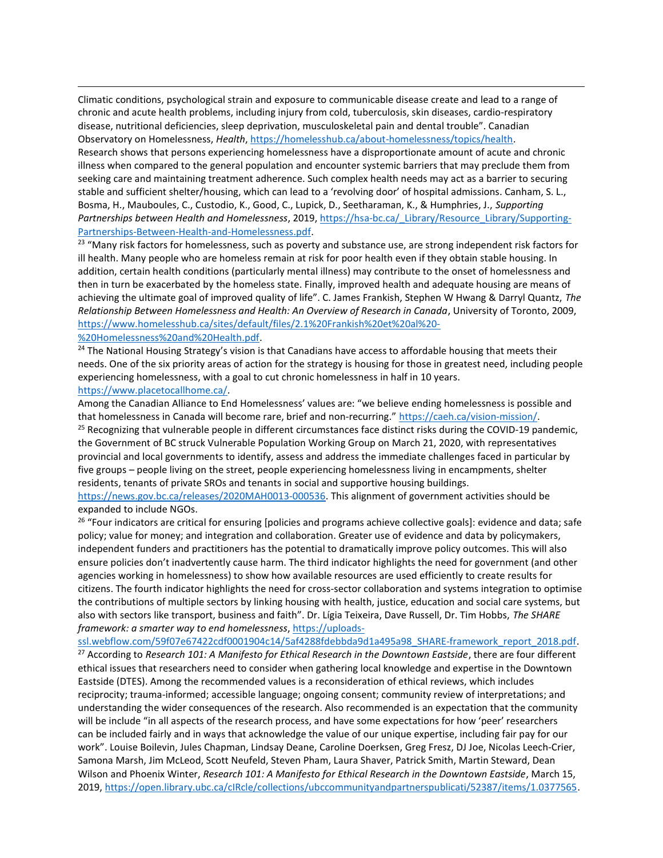Climatic conditions, psychological strain and exposure to communicable disease create and lead to a range of chronic and acute health problems, including injury from cold, tuberculosis, skin diseases, cardio-respiratory disease, nutritional deficiencies, sleep deprivation, musculoskeletal pain and dental trouble". Canadian Observatory on Homelessness, Health, https://homelesshub.ca/about-homelessness/topics/health. Research shows that persons experiencing homelessness have a disproportionate amount of acute and chronic illness when compared to the general population and encounter systemic barriers that may preclude them from seeking care and maintaining treatment adherence. Such complex health needs may act as a barrier to securing stable and sufficient shelter/housing, which can lead to a 'revolving door' of hospital admissions. Canham, S. L., Bosma, H., Mauboules, C., Custodio, K., Good, C., Lupick, D., Seetharaman, K., & Humphries, J., Supporting Partnerships between Health and Homelessness, 2019, https://hsa-bc.ca/\_Library/Resource\_Library/Supporting-Partnerships-Between-Health-and-Homelessness.pdf.

<sup>23</sup> "Many risk factors for homelessness, such as poverty and substance use, are strong independent risk factors for ill health. Many people who are homeless remain at risk for poor health even if they obtain stable housing. In addition, certain health conditions (particularly mental illness) may contribute to the onset of homelessness and then in turn be exacerbated by the homeless state. Finally, improved health and adequate housing are means of achieving the ultimate goal of improved quality of life". C. James Frankish, Stephen W Hwang & Darryl Quantz, The Relationship Between Homelessness and Health: An Overview of Research in Canada, University of Toronto, 2009, https://www.homelesshub.ca/sites/default/files/2.1%20Frankish%20et%20al%20- %20Homelessness%20and%20Health.pdf.

<sup>24</sup> The National Housing Strategy's vision is that Canadians have access to affordable housing that meets their needs. One of the six priority areas of action for the strategy is housing for those in greatest need, including people experiencing homelessness, with a goal to cut chronic homelessness in half in 10 years.

## https://www.placetocallhome.ca/.

Among the Canadian Alliance to End Homelessness' values are: "we believe ending homelessness is possible and that homelessness in Canada will become rare, brief and non-recurring." https://caeh.ca/vision-mission/. <sup>25</sup> Recognizing that vulnerable people in different circumstances face distinct risks during the COVID-19 pandemic, the Government of BC struck Vulnerable Population Working Group on March 21, 2020, with representatives provincial and local governments to identify, assess and address the immediate challenges faced in particular by five groups – people living on the street, people experiencing homelessness living in encampments, shelter residents, tenants of private SROs and tenants in social and supportive housing buildings.

https://news.gov.bc.ca/releases/2020MAH0013-000536. This alignment of government activities should be expanded to include NGOs.

<sup>26</sup> "Four indicators are critical for ensuring [policies and programs achieve collective goals]: evidence and data; safe policy; value for money; and integration and collaboration. Greater use of evidence and data by policymakers, independent funders and practitioners has the potential to dramatically improve policy outcomes. This will also ensure policies don't inadvertently cause harm. The third indicator highlights the need for government (and other agencies working in homelessness) to show how available resources are used efficiently to create results for citizens. The fourth indicator highlights the need for cross-sector collaboration and systems integration to optimise the contributions of multiple sectors by linking housing with health, justice, education and social care systems, but also with sectors like transport, business and faith". Dr. Lígia Teixeira, Dave Russell, Dr. Tim Hobbs, The SHARE framework: a smarter way to end homelessness, https://uploads-

ssl.webflow.com/59f07e67422cdf0001904c14/5af4288fdebbda9d1a495a98\_SHARE-framework\_report\_2018.pdf. <sup>27</sup> According to Research 101: A Manifesto for Ethical Research in the Downtown Eastside, there are four different ethical issues that researchers need to consider when gathering local knowledge and expertise in the Downtown Eastside (DTES). Among the recommended values is a reconsideration of ethical reviews, which includes reciprocity; trauma-informed; accessible language; ongoing consent; community review of interpretations; and understanding the wider consequences of the research. Also recommended is an expectation that the community will be include "in all aspects of the research process, and have some expectations for how 'peer' researchers can be included fairly and in ways that acknowledge the value of our unique expertise, including fair pay for our work". Louise Boilevin, Jules Chapman, Lindsay Deane, Caroline Doerksen, Greg Fresz, DJ Joe, Nicolas Leech-Crier, Samona Marsh, Jim McLeod, Scott Neufeld, Steven Pham, Laura Shaver, Patrick Smith, Martin Steward, Dean Wilson and Phoenix Winter, Research 101: A Manifesto for Ethical Research in the Downtown Eastside, March 15, 2019, https://open.library.ubc.ca/cIRcle/collections/ubccommunityandpartnerspublicati/52387/items/1.0377565.